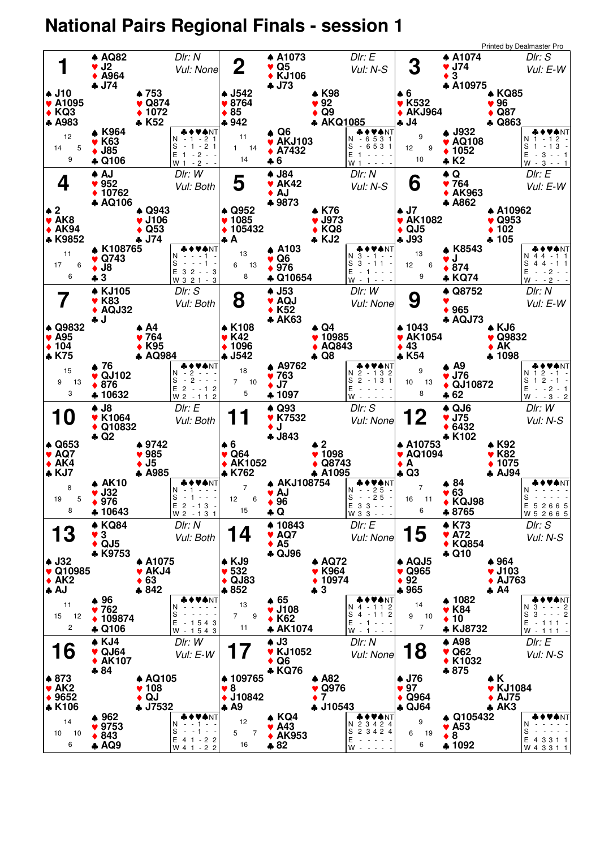## **National Pairs Regional Finals - session 1**